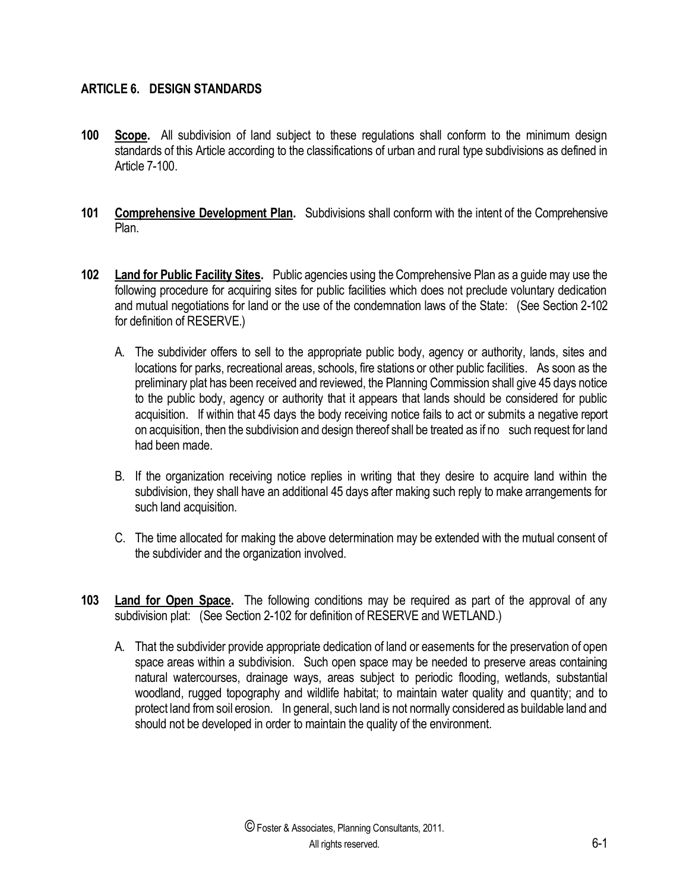# **ARTICLE 6. DESIGN STANDARDS**

- **100 Scope.** All subdivision of land subject to these regulations shall conform to the minimum design standards of this Article according to the classifications of urban and rural type subdivisions as defined in Article 7-100.
- **101 Comprehensive Development Plan.** Subdivisions shall conform with the intent of the Comprehensive Plan.
- **102 Land for Public Facility Sites.** Public agencies using the Comprehensive Plan as a guide may use the following procedure for acquiring sites for public facilities which does not preclude voluntary dedication and mutual negotiations for land or the use of the condemnation laws of the State: (See Section 2-102 for definition of RESERVE.)
	- A. The subdivider offers to sell to the appropriate public body, agency or authority, lands, sites and locations for parks, recreational areas, schools, fire stations or other public facilities. As soon as the preliminary plat has been received and reviewed, the Planning Commission shall give 45 days notice to the public body, agency or authority that it appears that lands should be considered for public acquisition. If within that 45 days the body receiving notice fails to act or submits a negative report on acquisition, then the subdivision and design thereof shall be treated as if no such request for land had been made.
	- B. If the organization receiving notice replies in writing that they desire to acquire land within the subdivision, they shall have an additional 45 days after making such reply to make arrangements for such land acquisition.
	- C. The time allocated for making the above determination may be extended with the mutual consent of the subdivider and the organization involved.
- **103 Land for Open Space.** The following conditions may be required as part of the approval of any subdivision plat: (See Section 2-102 for definition of RESERVE and WETLAND.)
	- A. That the subdivider provide appropriate dedication of land or easements for the preservation of open space areas within a subdivision. Such open space may be needed to preserve areas containing natural watercourses, drainage ways, areas subject to periodic flooding, wetlands, substantial woodland, rugged topography and wildlife habitat; to maintain water quality and quantity; and to protect land from soil erosion. In general, such land is not normally considered as buildable land and should not be developed in order to maintain the quality of the environment.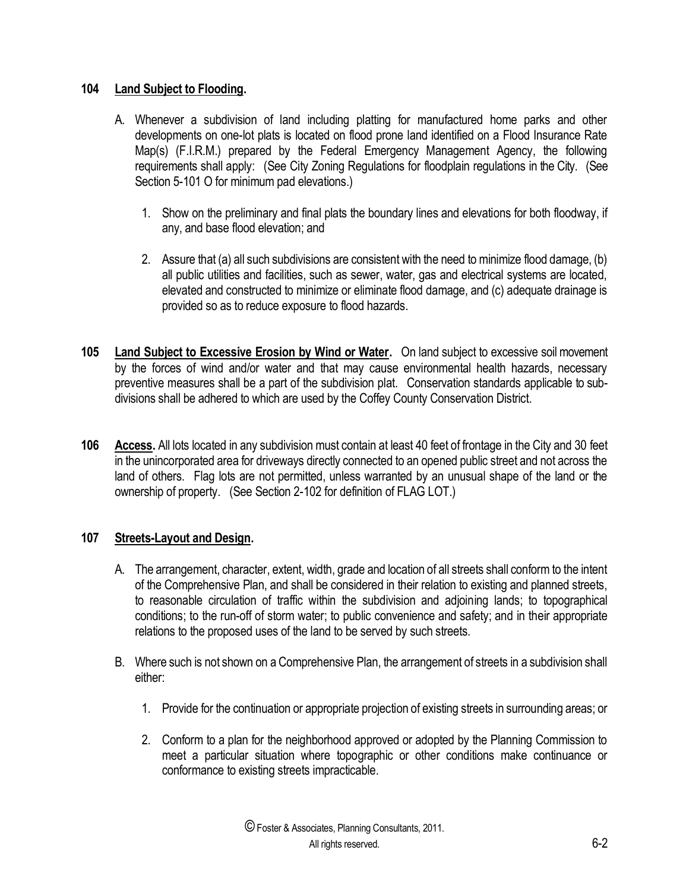#### **104 Land Subject to Flooding.**

- A. Whenever a subdivision of land including platting for manufactured home parks and other developments on one-lot plats is located on flood prone land identified on a Flood Insurance Rate Map(s) (F.I.R.M.) prepared by the Federal Emergency Management Agency, the following requirements shall apply: (See City Zoning Regulations for floodplain regulations in the City. (See Section 5-101 O for minimum pad elevations.)
	- 1. Show on the preliminary and final plats the boundary lines and elevations for both floodway, if any, and base flood elevation; and
	- 2. Assure that (a) all such subdivisions are consistent with the need to minimize flood damage, (b) all public utilities and facilities, such as sewer, water, gas and electrical systems are located, elevated and constructed to minimize or eliminate flood damage, and (c) adequate drainage is provided so as to reduce exposure to flood hazards.
- **105 Land Subject to Excessive Erosion by Wind or Water.** On land subject to excessive soil movement by the forces of wind and/or water and that may cause environmental health hazards, necessary preventive measures shall be a part of the subdivision plat. Conservation standards applicable to subdivisions shall be adhered to which are used by the Coffey County Conservation District.
- **106 Access.** All lots located in any subdivision must contain at least 40 feet of frontage in the City and 30 feet in the unincorporated area for driveways directly connected to an opened public street and not across the land of others. Flag lots are not permitted, unless warranted by an unusual shape of the land or the ownership of property. (See Section 2-102 for definition of FLAG LOT.)

# **107 Streets-Layout and Design.**

- A. The arrangement, character, extent, width, grade and location of all streets shall conform to the intent of the Comprehensive Plan, and shall be considered in their relation to existing and planned streets, to reasonable circulation of traffic within the subdivision and adjoining lands; to topographical conditions; to the run-off of storm water; to public convenience and safety; and in their appropriate relations to the proposed uses of the land to be served by such streets.
- B. Where such is not shown on a Comprehensive Plan, the arrangement of streets in a subdivision shall either:
	- 1. Provide for the continuation or appropriate projection of existing streets in surrounding areas; or
	- 2. Conform to a plan for the neighborhood approved or adopted by the Planning Commission to meet a particular situation where topographic or other conditions make continuance or conformance to existing streets impracticable.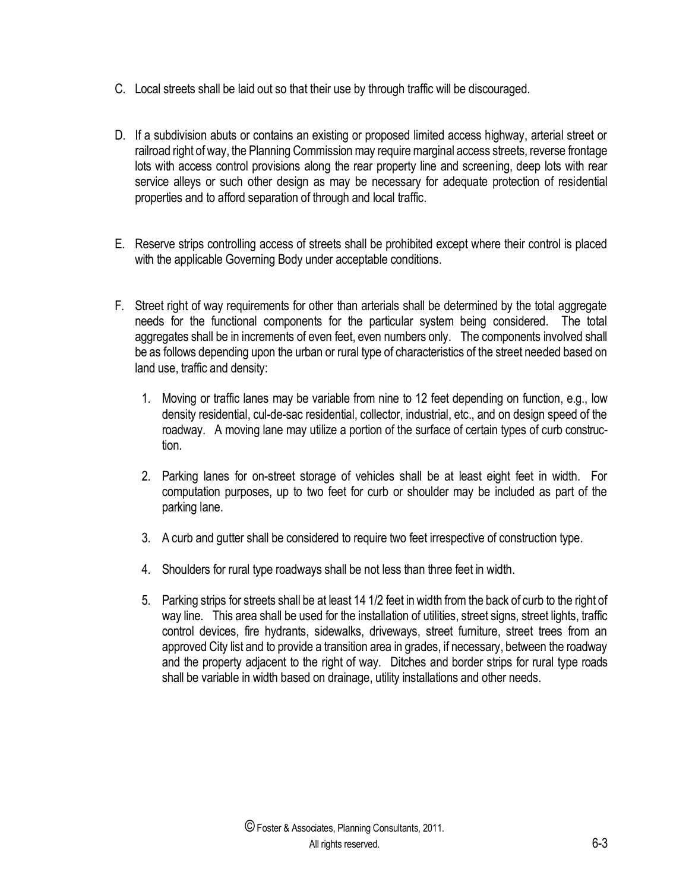- C. Local streets shall be laid out so that their use by through traffic will be discouraged.
- D. If a subdivision abuts or contains an existing or proposed limited access highway, arterial street or railroad right of way, the Planning Commission may require marginal access streets, reverse frontage lots with access control provisions along the rear property line and screening, deep lots with rear service alleys or such other design as may be necessary for adequate protection of residential properties and to afford separation of through and local traffic.
- E. Reserve strips controlling access of streets shall be prohibited except where their control is placed with the applicable Governing Body under acceptable conditions.
- F. Street right of way requirements for other than arterials shall be determined by the total aggregate needs for the functional components for the particular system being considered. The total aggregates shall be in increments of even feet, even numbers only. The components involved shall be as follows depending upon the urban or rural type of characteristics of the street needed based on land use, traffic and density:
	- 1. Moving or traffic lanes may be variable from nine to 12 feet depending on function, e.g., low density residential, cul-de-sac residential, collector, industrial, etc., and on design speed of the roadway. A moving lane may utilize a portion of the surface of certain types of curb construction.
	- 2. Parking lanes for on-street storage of vehicles shall be at least eight feet in width. For computation purposes, up to two feet for curb or shoulder may be included as part of the parking lane.
	- 3. A curb and gutter shall be considered to require two feet irrespective of construction type.
	- 4. Shoulders for rural type roadways shall be not less than three feet in width.
	- 5. Parking strips for streets shall be at least 14 1/2 feet in width from the back of curb to the right of way line. This area shall be used for the installation of utilities, street signs, street lights, traffic control devices, fire hydrants, sidewalks, driveways, street furniture, street trees from an approved City list and to provide a transition area in grades, if necessary, between the roadway and the property adjacent to the right of way. Ditches and border strips for rural type roads shall be variable in width based on drainage, utility installations and other needs.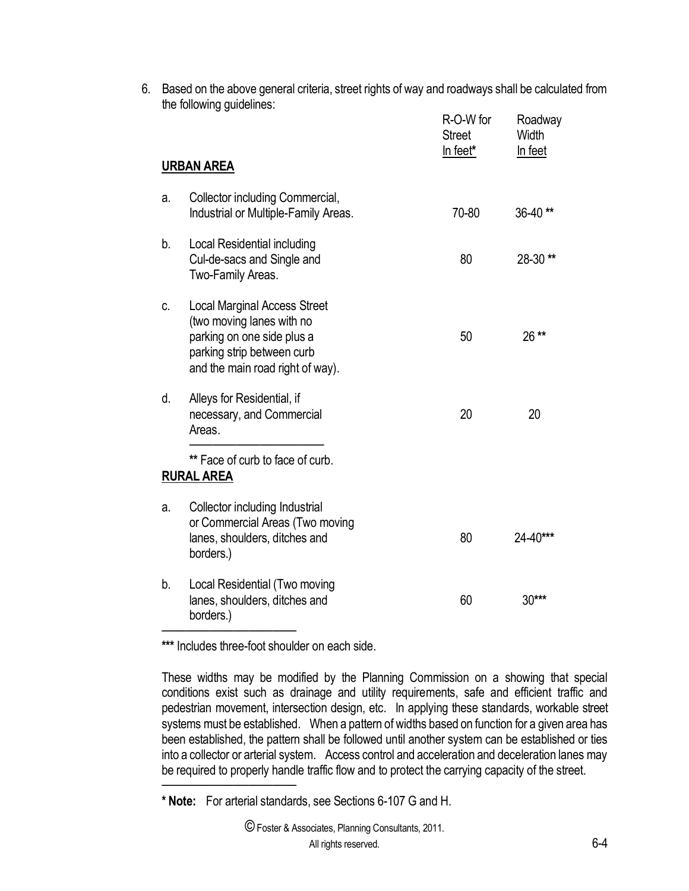6. Based on the above general criteria, street rights of way and roadways shall be calculated from the following guidelines:

|    | <b>URBAN AREA</b>                                                                                                                                                | R-O-W for<br><b>Street</b><br>In feet* | Roadway<br>Width<br>In feet |
|----|------------------------------------------------------------------------------------------------------------------------------------------------------------------|----------------------------------------|-----------------------------|
| a. | Collector including Commercial,<br>Industrial or Multiple-Family Areas.                                                                                          | 70-80                                  | 36-40**                     |
| b. | Local Residential including<br>Cul-de-sacs and Single and<br>Two-Family Areas.                                                                                   | 80                                     | 28-30**                     |
| C. | <b>Local Marginal Access Street</b><br>(two moving lanes with no<br>parking on one side plus a<br>parking strip between curb<br>and the main road right of way). | 50                                     | 26**                        |
| d. | Alleys for Residential, if<br>necessary, and Commercial<br>Areas.                                                                                                | 20                                     | 20                          |
|    | ** Face of curb to face of curb.<br><b>RURAL AREA</b>                                                                                                            |                                        |                             |
| a. | Collector including Industrial<br>or Commercial Areas (Two moving<br>lanes, shoulders, ditches and<br>borders.)                                                  | 80                                     | 24-40***                    |
| b. | Local Residential (Two moving<br>lanes, shoulders, ditches and<br>borders.)                                                                                      | 60                                     | $30***$                     |

**\*\*\*** Includes three-foot shoulder on each side.

──────<del>──────</del>

──────<del>──────</del>

These widths may be modified by the Planning Commission on a showing that special conditions exist such as drainage and utility requirements, safe and efficient traffic and pedestrian movement, intersection design, etc. In applying these standards, workable street systems must be established. When a pattern of widths based on function for a given area has been established, the pattern shall be followed until another system can be established or ties into a collector or arterial system. Access control and acceleration and deceleration lanes may be required to properly handle traffic flow and to protect the carrying capacity of the street.

**<sup>\*</sup> Note:** For arterial standards, see Sections 6-107 G and H.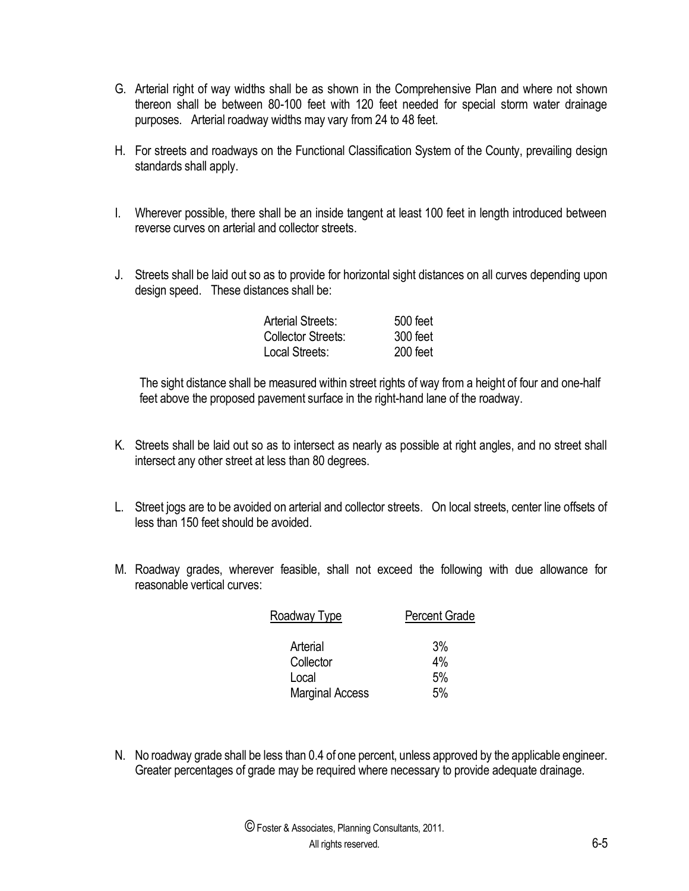- G. Arterial right of way widths shall be as shown in the Comprehensive Plan and where not shown thereon shall be between 80-100 feet with 120 feet needed for special storm water drainage purposes. Arterial roadway widths may vary from 24 to 48 feet.
- H. For streets and roadways on the Functional Classification System of the County, prevailing design standards shall apply.
- I. Wherever possible, there shall be an inside tangent at least 100 feet in length introduced between reverse curves on arterial and collector streets.
- J. Streets shall be laid out so as to provide for horizontal sight distances on all curves depending upon design speed. These distances shall be:

| <b>Arterial Streets:</b> | 500 feet |
|--------------------------|----------|
| Collector Streets:       | 300 feet |
| Local Streets:           | 200 feet |

The sight distance shall be measured within street rights of way from a height of four and one-half feet above the proposed pavement surface in the right-hand lane of the roadway.

- K. Streets shall be laid out so as to intersect as nearly as possible at right angles, and no street shall intersect any other street at less than 80 degrees.
- L. Street jogs are to be avoided on arterial and collector streets. On local streets, center line offsets of less than 150 feet should be avoided.
- M. Roadway grades, wherever feasible, shall not exceed the following with due allowance for reasonable vertical curves:

| <b>Percent Grade</b> |  |
|----------------------|--|
|                      |  |
| 3%                   |  |
| 4%                   |  |
| 5%                   |  |
| 5%                   |  |
|                      |  |

N. No roadway grade shall be less than 0.4 of one percent, unless approved by the applicable engineer. Greater percentages of grade may be required where necessary to provide adequate drainage.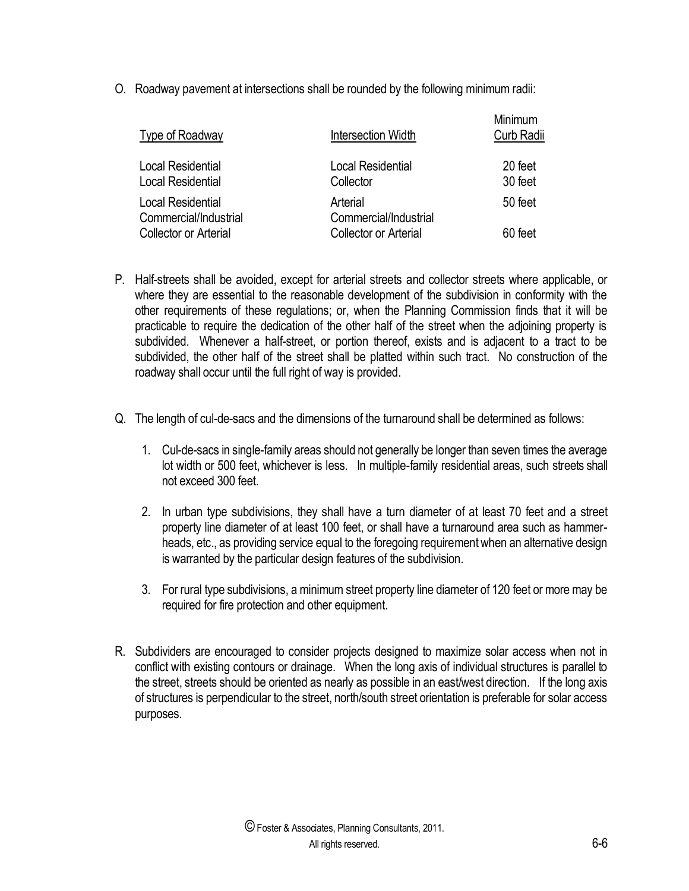O. Roadway pavement at intersections shall be rounded by the following minimum radii:

| Type of Roadway                                      | Intersection Width                    | Minimum<br>Curb Radii |
|------------------------------------------------------|---------------------------------------|-----------------------|
| <b>Local Residential</b><br><b>Local Residential</b> | <b>Local Residential</b><br>Collector | 20 feet<br>30 feet    |
| <b>Local Residential</b><br>Commercial/Industrial    | Arterial<br>Commercial/Industrial     | 50 feet               |
| <b>Collector or Arterial</b>                         | <b>Collector or Arterial</b>          | 60 feet               |

- P. Half-streets shall be avoided, except for arterial streets and collector streets where applicable, or where they are essential to the reasonable development of the subdivision in conformity with the other requirements of these regulations; or, when the Planning Commission finds that it will be practicable to require the dedication of the other half of the street when the adjoining property is subdivided. Whenever a half-street, or portion thereof, exists and is adjacent to a tract to be subdivided, the other half of the street shall be platted within such tract. No construction of the roadway shall occur until the full right of way is provided.
- Q. The length of cul-de-sacs and the dimensions of the turnaround shall be determined as follows:
	- 1. Cul-de-sacs in single-family areas should not generally be longer than seven times the average lot width or 500 feet, whichever is less. In multiple-family residential areas, such streets shall not exceed 300 feet.
	- 2. In urban type subdivisions, they shall have a turn diameter of at least 70 feet and a street property line diameter of at least 100 feet, or shall have a turnaround area such as hammerheads, etc., as providing service equal to the foregoing requirement when an alternative design is warranted by the particular design features of the subdivision.
	- 3. For rural type subdivisions, a minimum street property line diameter of 120 feet or more may be required for fire protection and other equipment.
- R. Subdividers are encouraged to consider projects designed to maximize solar access when not in conflict with existing contours or drainage. When the long axis of individual structures is parallel to the street, streets should be oriented as nearly as possible in an east/west direction. If the long axis of structures is perpendicular to the street, north/south street orientation is preferable for solar access purposes.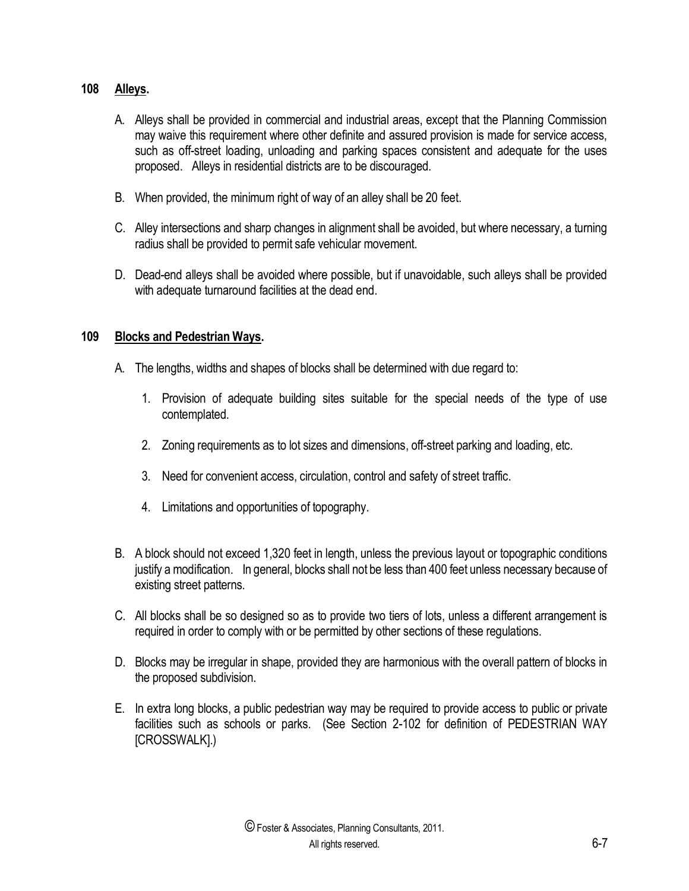## **108 Alleys.**

- A. Alleys shall be provided in commercial and industrial areas, except that the Planning Commission may waive this requirement where other definite and assured provision is made for service access, such as off-street loading, unloading and parking spaces consistent and adequate for the uses proposed. Alleys in residential districts are to be discouraged.
- B. When provided, the minimum right of way of an alley shall be 20 feet.
- C. Alley intersections and sharp changes in alignment shall be avoided, but where necessary, a turning radius shall be provided to permit safe vehicular movement.
- D. Dead-end alleys shall be avoided where possible, but if unavoidable, such alleys shall be provided with adequate turnaround facilities at the dead end.

# **109 Blocks and Pedestrian Ways.**

- A. The lengths, widths and shapes of blocks shall be determined with due regard to:
	- 1. Provision of adequate building sites suitable for the special needs of the type of use contemplated.
	- 2. Zoning requirements as to lot sizes and dimensions, off-street parking and loading, etc.
	- 3. Need for convenient access, circulation, control and safety of street traffic.
	- 4. Limitations and opportunities of topography.
- B. A block should not exceed 1,320 feet in length, unless the previous layout or topographic conditions justify a modification. In general, blocks shall not be less than 400 feet unless necessary because of existing street patterns.
- C. All blocks shall be so designed so as to provide two tiers of lots, unless a different arrangement is required in order to comply with or be permitted by other sections of these regulations.
- D. Blocks may be irregular in shape, provided they are harmonious with the overall pattern of blocks in the proposed subdivision.
- E. In extra long blocks, a public pedestrian way may be required to provide access to public or private facilities such as schools or parks. (See Section 2-102 for definition of PEDESTRIAN WAY [CROSSWALK].)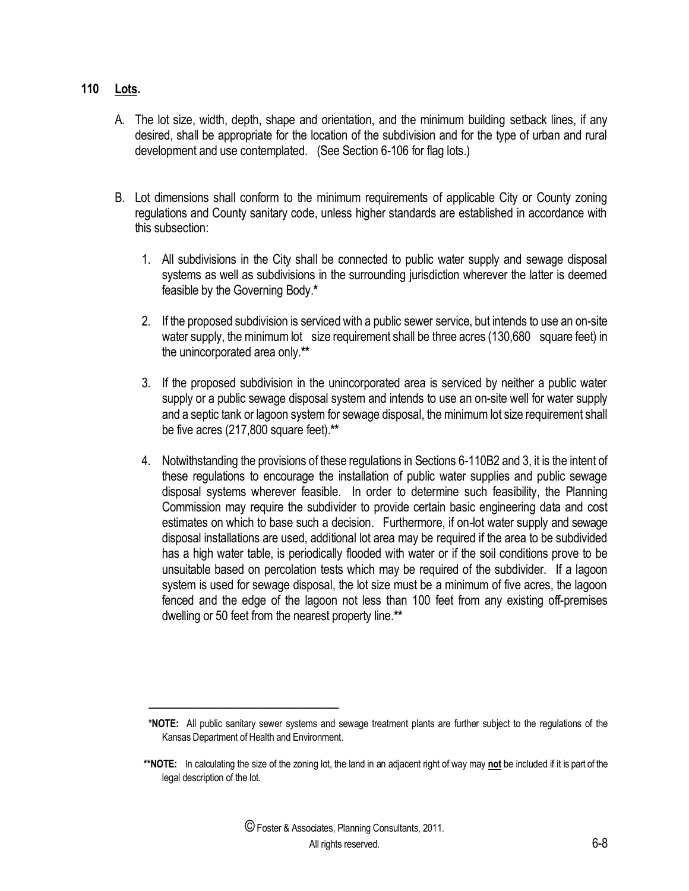#### **110 Lots.**

- A. The lot size, width, depth, shape and orientation, and the minimum building setback lines, if any desired, shall be appropriate for the location of the subdivision and for the type of urban and rural development and use contemplated. (See Section 6-106 for flag lots.)
- B. Lot dimensions shall conform to the minimum requirements of applicable City or County zoning regulations and County sanitary code, unless higher standards are established in accordance with this subsection:
	- 1. All subdivisions in the City shall be connected to public water supply and sewage disposal systems as well as subdivisions in the surrounding jurisdiction wherever the latter is deemed feasible by the Governing Body.**\***
	- 2. If the proposed subdivision is serviced with a public sewer service, but intends to use an on-site water supply, the minimum lot size requirement shall be three acres (130,680 square feet) in the unincorporated area only.**\*\***
	- 3. If the proposed subdivision in the unincorporated area is serviced by neither a public water supply or a public sewage disposal system and intends to use an on-site well for water supply and a septic tank or lagoon system for sewage disposal, the minimum lot size requirement shall be five acres (217,800 square feet).**\*\***
	- 4. Notwithstanding the provisions of these regulations in Sections 6-110B2 and 3, it is the intent of these regulations to encourage the installation of public water supplies and public sewage disposal systems wherever feasible. In order to determine such feasibility, the Planning Commission may require the subdivider to provide certain basic engineering data and cost estimates on which to base such a decision. Furthermore, if on-lot water supply and sewage disposal installations are used, additional lot area may be required if the area to be subdivided has a high water table, is periodically flooded with water or if the soil conditions prove to be unsuitable based on percolation tests which may be required of the subdivider. If a lagoon system is used for sewage disposal, the lot size must be a minimum of five acres, the lagoon fenced and the edge of the lagoon not less than 100 feet from any existing off-premises dwelling or 50 feet from the nearest property line.**\*\***

────────────────────────

**<sup>\*</sup>NOTE:** All public sanitary sewer systems and sewage treatment plants are further subject to the regulations of the Kansas Department of Health and Environment.

**\*\*NOTE:** In calculating the size of the zoning lot, the land in an adjacent right of way may **not** be included if it is part of the legal description of the lot.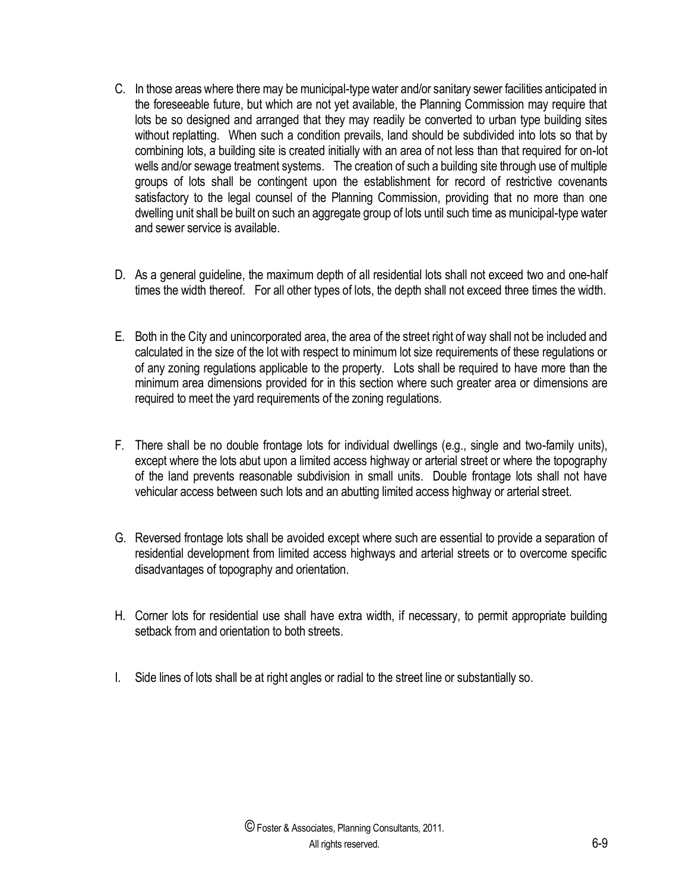- C. In those areas where there may be municipal-type water and/or sanitary sewer facilities anticipated in the foreseeable future, but which are not yet available, the Planning Commission may require that lots be so designed and arranged that they may readily be converted to urban type building sites without replatting. When such a condition prevails, land should be subdivided into lots so that by combining lots, a building site is created initially with an area of not less than that required for on-lot wells and/or sewage treatment systems. The creation of such a building site through use of multiple groups of lots shall be contingent upon the establishment for record of restrictive covenants satisfactory to the legal counsel of the Planning Commission, providing that no more than one dwelling unit shall be built on such an aggregate group of lots until such time as municipal-type water and sewer service is available.
- D. As a general guideline, the maximum depth of all residential lots shall not exceed two and one-half times the width thereof. For all other types of lots, the depth shall not exceed three times the width.
- E. Both in the City and unincorporated area, the area of the street right of way shall not be included and calculated in the size of the lot with respect to minimum lot size requirements of these regulations or of any zoning regulations applicable to the property. Lots shall be required to have more than the minimum area dimensions provided for in this section where such greater area or dimensions are required to meet the yard requirements of the zoning regulations.
- F. There shall be no double frontage lots for individual dwellings (e.g., single and two-family units), except where the lots abut upon a limited access highway or arterial street or where the topography of the land prevents reasonable subdivision in small units. Double frontage lots shall not have vehicular access between such lots and an abutting limited access highway or arterial street.
- G. Reversed frontage lots shall be avoided except where such are essential to provide a separation of residential development from limited access highways and arterial streets or to overcome specific disadvantages of topography and orientation.
- H. Corner lots for residential use shall have extra width, if necessary, to permit appropriate building setback from and orientation to both streets.
- I. Side lines of lots shall be at right angles or radial to the street line or substantially so.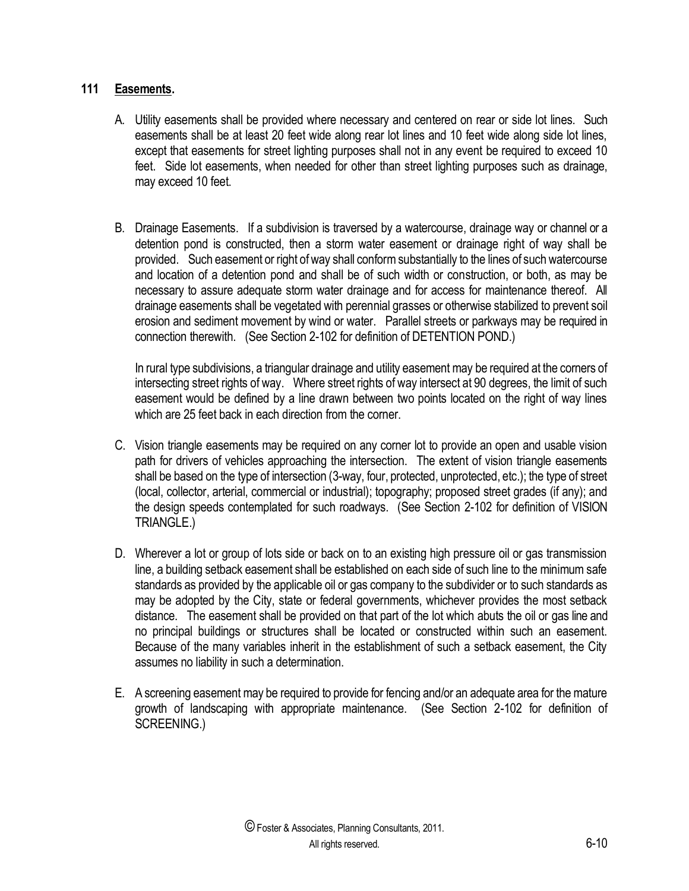#### **111 Easements.**

- A. Utility easements shall be provided where necessary and centered on rear or side lot lines. Such easements shall be at least 20 feet wide along rear lot lines and 10 feet wide along side lot lines, except that easements for street lighting purposes shall not in any event be required to exceed 10 feet. Side lot easements, when needed for other than street lighting purposes such as drainage, may exceed 10 feet.
- B. Drainage Easements. If a subdivision is traversed by a watercourse, drainage way or channel or a detention pond is constructed, then a storm water easement or drainage right of way shall be provided. Such easement or right of way shall conform substantially to the lines of such watercourse and location of a detention pond and shall be of such width or construction, or both, as may be necessary to assure adequate storm water drainage and for access for maintenance thereof. All drainage easements shall be vegetated with perennial grasses or otherwise stabilized to prevent soil erosion and sediment movement by wind or water. Parallel streets or parkways may be required in connection therewith. (See Section 2-102 for definition of DETENTION POND.)

In rural type subdivisions, a triangular drainage and utility easement may be required at the corners of intersecting street rights of way. Where street rights of way intersect at 90 degrees, the limit of such easement would be defined by a line drawn between two points located on the right of way lines which are 25 feet back in each direction from the corner.

- C. Vision triangle easements may be required on any corner lot to provide an open and usable vision path for drivers of vehicles approaching the intersection. The extent of vision triangle easements shall be based on the type of intersection (3-way, four, protected, unprotected, etc.); the type of street (local, collector, arterial, commercial or industrial); topography; proposed street grades (if any); and the design speeds contemplated for such roadways. (See Section 2-102 for definition of VISION TRIANGLE.)
- D. Wherever a lot or group of lots side or back on to an existing high pressure oil or gas transmission line, a building setback easement shall be established on each side of such line to the minimum safe standards as provided by the applicable oil or gas company to the subdivider or to such standards as may be adopted by the City, state or federal governments, whichever provides the most setback distance. The easement shall be provided on that part of the lot which abuts the oil or gas line and no principal buildings or structures shall be located or constructed within such an easement. Because of the many variables inherit in the establishment of such a setback easement, the City assumes no liability in such a determination.
- E. A screening easement may be required to provide for fencing and/or an adequate area for the mature growth of landscaping with appropriate maintenance. (See Section 2-102 for definition of SCREENING.)